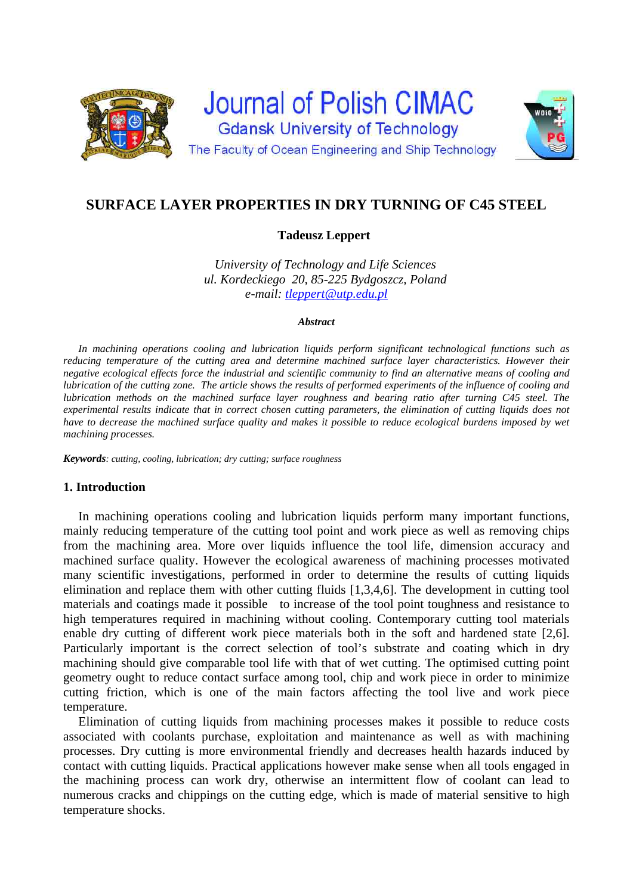



# **Tadeusz Leppert**

*University of Technology and Life Sciences ul. Kordeckiego 20, 85-225 Bydgoszcz, Poland e-mail: tleppert@utp.edu.pl*

#### *Abstract*

*In machining operations cooling and lubrication liquids perform significant technological functions such as reducing temperature of the cutting area and determine machined surface layer characteristics. However their negative ecological effects force the industrial and scientific community to find an alternative means of cooling and lubrication of the cutting zone. The article shows the results of performed experiments of the influence of cooling and lubrication methods on the machined surface layer roughness and bearing ratio after turning C45 steel. The experimental results indicate that in correct chosen cutting parameters, the elimination of cutting liquids does not have to decrease the machined surface quality and makes it possible to reduce ecological burdens imposed by wet machining processes.* 

*Keywords: cutting, cooling, lubrication; dry cutting; surface roughness* 

## **1. Introduction**

In machining operations cooling and lubrication liquids perform many important functions, mainly reducing temperature of the cutting tool point and work piece as well as removing chips from the machining area. More over liquids influence the tool life, dimension accuracy and machined surface quality. However the ecological awareness of machining processes motivated many scientific investigations, performed in order to determine the results of cutting liquids elimination and replace them with other cutting fluids [1,3,4,6]. The development in cutting tool materials and coatings made it possible to increase of the tool point toughness and resistance to high temperatures required in machining without cooling. Contemporary cutting tool materials enable dry cutting of different work piece materials both in the soft and hardened state [2,6]. Particularly important is the correct selection of tool's substrate and coating which in dry machining should give comparable tool life with that of wet cutting. The optimised cutting point geometry ought to reduce contact surface among tool, chip and work piece in order to minimize cutting friction, which is one of the main factors affecting the tool live and work piece temperature.

Elimination of cutting liquids from machining processes makes it possible to reduce costs associated with coolants purchase, exploitation and maintenance as well as with machining processes. Dry cutting is more environmental friendly and decreases health hazards induced by contact with cutting liquids. Practical applications however make sense when all tools engaged in the machining process can work dry, otherwise an intermittent flow of coolant can lead to numerous cracks and chippings on the cutting edge, which is made of material sensitive to high temperature shocks.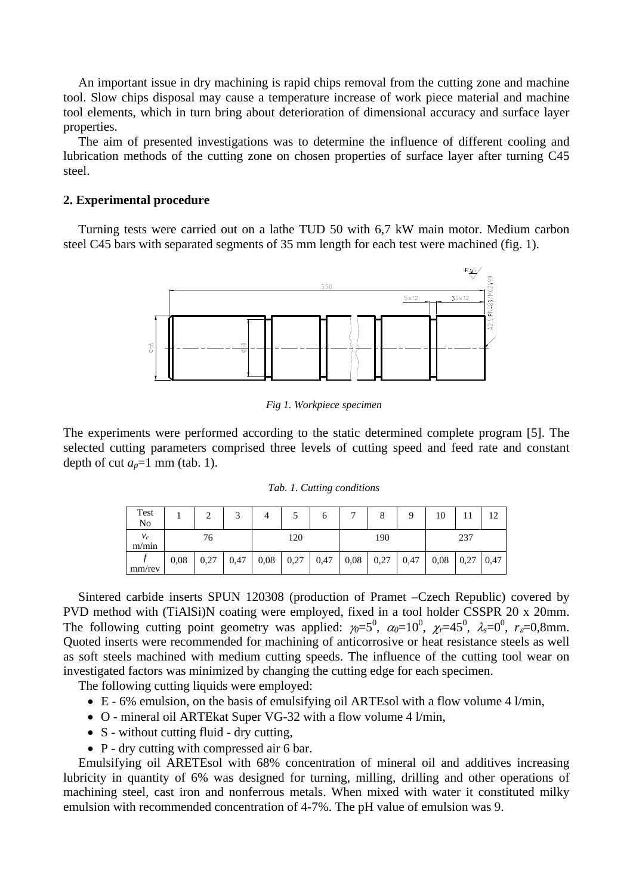An important issue in dry machining is rapid chips removal from the cutting zone and machine tool. Slow chips disposal may cause a temperature increase of work piece material and machine tool elements, which in turn bring about deterioration of dimensional accuracy and surface layer properties.

The aim of presented investigations was to determine the influence of different cooling and lubrication methods of the cutting zone on chosen properties of surface layer after turning C45 steel.

## **2. Experimental procedure**

Turning tests were carried out on a lathe TUD 50 with 6,7 kW main motor. Medium carbon steel C45 bars with separated segments of 35 mm length for each test were machined (fig. 1).



*Fig 1. Workpiece specimen* 

The experiments were performed according to the static determined complete program [5]. The selected cutting parameters comprised three levels of cutting speed and feed rate and constant depth of cut  $a_p=1$  mm (tab. 1).

|  |  | Tab. 1. Cutting conditions |
|--|--|----------------------------|
|--|--|----------------------------|

| Test<br>No     |      |      | 2    | 4    |      | O    |      | 8    | Q    | 10   |      | 12   |
|----------------|------|------|------|------|------|------|------|------|------|------|------|------|
| $v_c$<br>m/min | 76   |      | 120  |      | 190  |      |      | 237  |      |      |      |      |
| mm/rev         | 0.08 | 0,27 | 0,47 | 0,08 | 0,27 | 0,47 | 0,08 | 0,27 | 0,47 | 0,08 | 0,27 | 0,47 |

Sintered carbide inserts SPUN 120308 (production of Pramet –Czech Republic) covered by PVD method with (TiAlSi)N coating were employed, fixed in a tool holder CSSPR 20 x 20mm. The following cutting point geometry was applied:  $\gamma_0 = 5^0$ ,  $\alpha_0 = 10^0$ ,  $\gamma_r = 45^0$ ,  $\lambda_s = 0^0$ ,  $r_s = 0.8$ mm. Quoted inserts were recommended for machining of anticorrosive or heat resistance steels as well as soft steels machined with medium cutting speeds. The influence of the cutting tool wear on investigated factors was minimized by changing the cutting edge for each specimen.

The following cutting liquids were employed:

- E 6% emulsion, on the basis of emulsifying oil ARTEsol with a flow volume 4 l/min,
- O mineral oil ARTEkat Super VG-32 with a flow volume 4 l/min,
- S without cutting fluid dry cutting,
- P dry cutting with compressed air 6 bar.

Emulsifying oil ARETEsol with 68% concentration of mineral oil and additives increasing lubricity in quantity of 6% was designed for turning, milling, drilling and other operations of machining steel, cast iron and nonferrous metals. When mixed with water it constituted milky emulsion with recommended concentration of 4-7%. The pH value of emulsion was 9.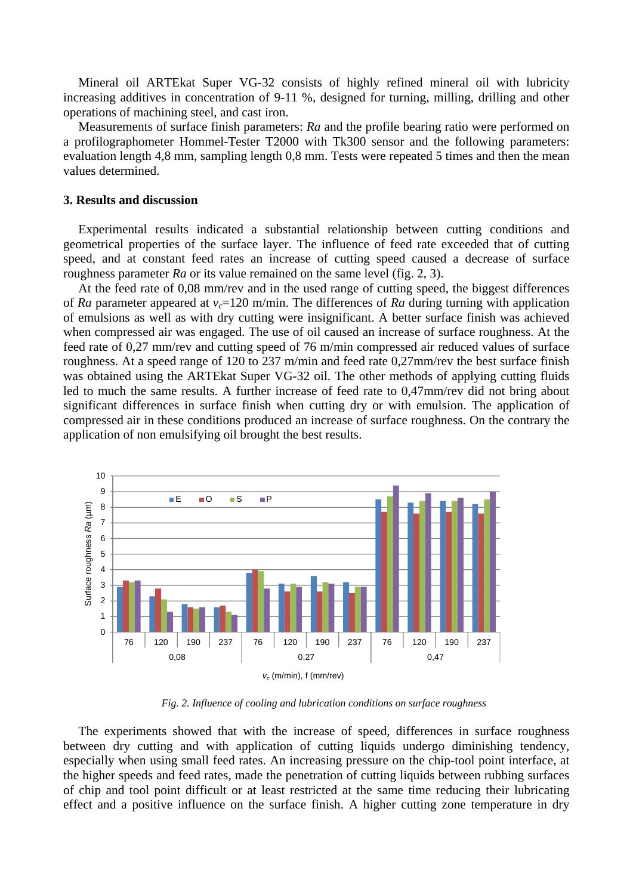Mineral oil ARTEkat Super VG-32 consists of highly refined mineral oil with lubricity increasing additives in concentration of 9-11 %, designed for turning, milling, drilling and other operations of machining steel, and cast iron.

Measurements of surface finish parameters: *Ra* and the profile bearing ratio were performed on a profilographometer Hommel-Tester T2000 with Tk300 sensor and the following parameters: evaluation length 4,8 mm, sampling length 0,8 mm. Tests were repeated 5 times and then the mean values determined.

#### **3. Results and discussion**

Experimental results indicated a substantial relationship between cutting conditions and geometrical properties of the surface layer. The influence of feed rate exceeded that of cutting speed, and at constant feed rates an increase of cutting speed caused a decrease of surface roughness parameter *Ra* or its value remained on the same level (fig. 2, 3).

At the feed rate of 0,08 mm/rev and in the used range of cutting speed, the biggest differences of *Ra* parameter appeared at  $v_c$ =120 m/min. The differences of *Ra* during turning with application of emulsions as well as with dry cutting were insignificant. A better surface finish was achieved when compressed air was engaged. The use of oil caused an increase of surface roughness. At the feed rate of 0,27 mm/rev and cutting speed of 76 m/min compressed air reduced values of surface roughness. At a speed range of 120 to 237 m/min and feed rate 0,27mm/rev the best surface finish was obtained using the ARTEkat Super VG-32 oil. The other methods of applying cutting fluids led to much the same results. A further increase of feed rate to 0,47mm/rev did not bring about significant differences in surface finish when cutting dry or with emulsion. The application of compressed air in these conditions produced an increase of surface roughness. On the contrary the application of non emulsifying oil brought the best results.



*Fig. 2. Influence of cooling and lubrication conditions on surface roughness* 

The experiments showed that with the increase of speed, differences in surface roughness between dry cutting and with application of cutting liquids undergo diminishing tendency, especially when using small feed rates. An increasing pressure on the chip-tool point interface, at the higher speeds and feed rates, made the penetration of cutting liquids between rubbing surfaces of chip and tool point difficult or at least restricted at the same time reducing their lubricating effect and a positive influence on the surface finish. A higher cutting zone temperature in dry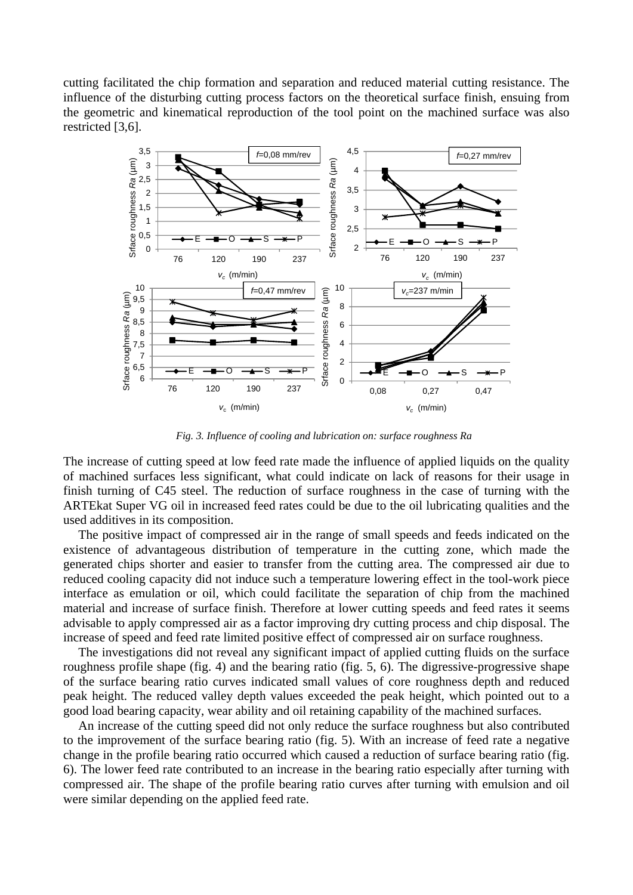cutting facilitated the chip formation and separation and reduced material cutting resistance. The influence of the disturbing cutting process factors on the theoretical surface finish, ensuing from the geometric and kinematical reproduction of the tool point on the machined surface was also restricted [3,6].



*Fig. 3. Influence of cooling and lubrication on: surface roughness Ra* 

The increase of cutting speed at low feed rate made the influence of applied liquids on the quality of machined surfaces less significant, what could indicate on lack of reasons for their usage in finish turning of C45 steel. The reduction of surface roughness in the case of turning with the ARTEkat Super VG oil in increased feed rates could be due to the oil lubricating qualities and the used additives in its composition.

The positive impact of compressed air in the range of small speeds and feeds indicated on the existence of advantageous distribution of temperature in the cutting zone, which made the generated chips shorter and easier to transfer from the cutting area. The compressed air due to reduced cooling capacity did not induce such a temperature lowering effect in the tool-work piece interface as emulation or oil, which could facilitate the separation of chip from the machined material and increase of surface finish. Therefore at lower cutting speeds and feed rates it seems advisable to apply compressed air as a factor improving dry cutting process and chip disposal. The increase of speed and feed rate limited positive effect of compressed air on surface roughness.

The investigations did not reveal any significant impact of applied cutting fluids on the surface roughness profile shape (fig. 4) and the bearing ratio (fig. 5, 6). The digressive-progressive shape of the surface bearing ratio curves indicated small values of core roughness depth and reduced peak height. The reduced valley depth values exceeded the peak height, which pointed out to a good load bearing capacity, wear ability and oil retaining capability of the machined surfaces.

An increase of the cutting speed did not only reduce the surface roughness but also contributed to the improvement of the surface bearing ratio (fig. 5). With an increase of feed rate a negative change in the profile bearing ratio occurred which caused a reduction of surface bearing ratio (fig. 6). The lower feed rate contributed to an increase in the bearing ratio especially after turning with compressed air. The shape of the profile bearing ratio curves after turning with emulsion and oil were similar depending on the applied feed rate.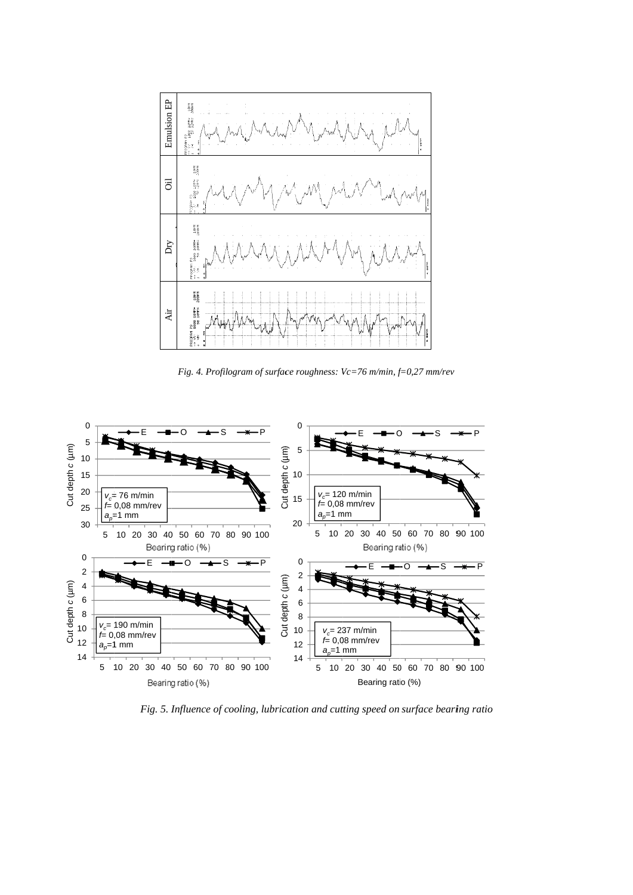

*Fig. 4. Profilogram of surface roughness: Vc=76 m/min, f=0,27 mm/rev* 



Fig. 5. Influence of cooling, lubrication and cutting speed on surface bearing ratio